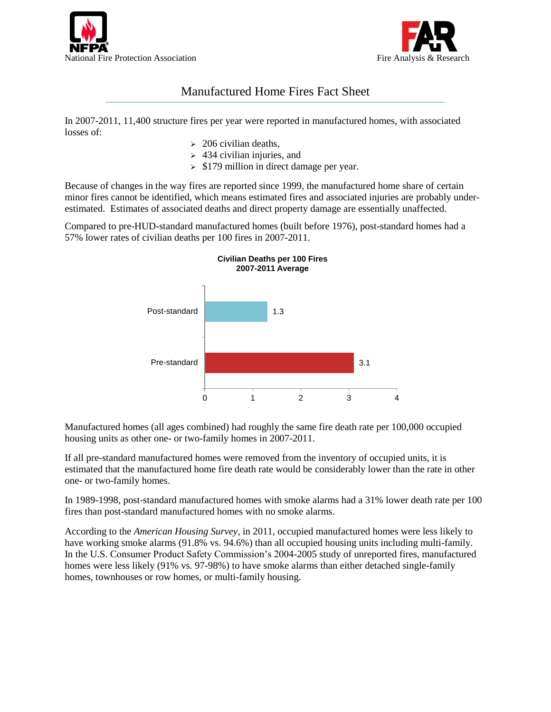



## Manufactured Home Fires Fact Sheet

In 2007-2011, 11,400 structure fires per year were reported in manufactured homes, with associated losses of:

- $\geq$  206 civilian deaths,
- $\geq$  434 civilian injuries, and
- $\geq$  \$179 million in direct damage per year.

Because of changes in the way fires are reported since 1999, the manufactured home share of certain minor fires cannot be identified, which means estimated fires and associated injuries are probably underestimated. Estimates of associated deaths and direct property damage are essentially unaffected.

Compared to pre-HUD-standard manufactured homes (built before 1976), post-standard homes had a 57% lower rates of civilian deaths per 100 fires in 2007-2011.



Manufactured homes (all ages combined) had roughly the same fire death rate per 100,000 occupied housing units as other one- or two-family homes in 2007-2011.

If all pre-standard manufactured homes were removed from the inventory of occupied units, it is estimated that the manufactured home fire death rate would be considerably lower than the rate in other one- or two-family homes.

In 1989-1998, post-standard manufactured homes with smoke alarms had a 31% lower death rate per 100 fires than post-standard manufactured homes with no smoke alarms.

According to the *American Housing Survey*, in 2011, occupied manufactured homes were less likely to have working smoke alarms (91.8% vs. 94.6%) than all occupied housing units including multi-family. In the U.S. Consumer Product Safety Commission's 2004-2005 study of unreported fires, manufactured homes were less likely (91% vs. 97-98%) to have smoke alarms than either detached single-family homes, townhouses or row homes, or multi-family housing.